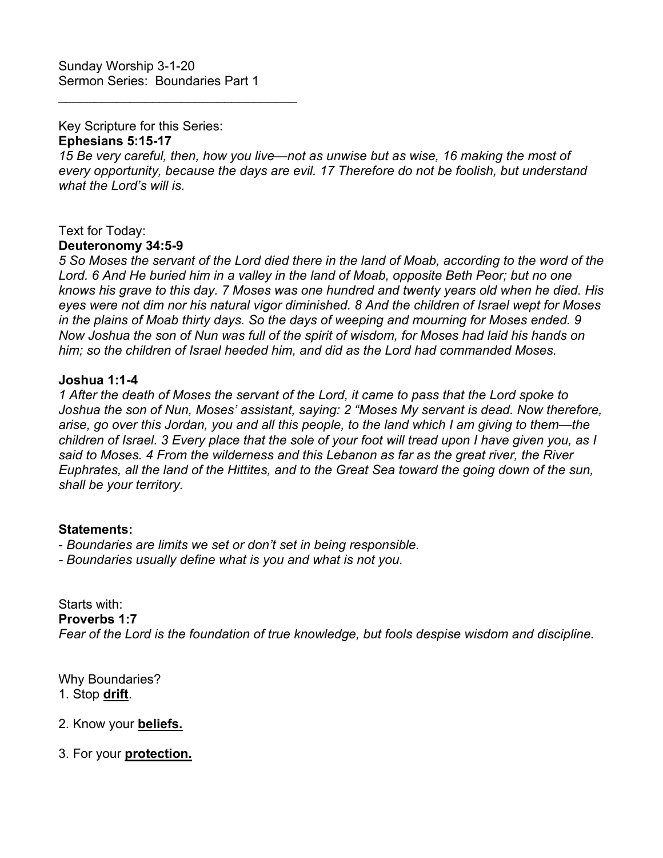Sunday Worship 3-1-20 Sermon Series: Boundaries Part 1

 $\mathcal{L}_\text{max}$  , and the set of the set of the set of the set of the set of the set of the set of the set of the set of the set of the set of the set of the set of the set of the set of the set of the set of the set of the

Key Scripture for this Series: **Ephesians 5:15-17**

*15 Be very careful, then, how you live—not as unwise but as wise, 16 making the most of every opportunity, because the days are evil. 17 Therefore do not be foolish, but understand what the Lord's will is.*

#### Text for Today: **Deuteronomy 34:5-9**

*5 So Moses the servant of the Lord died there in the land of Moab, according to the word of the Lord. 6 And He buried him in a valley in the land of Moab, opposite Beth Peor; but no one knows his grave to this day. 7 Moses was one hundred and twenty years old when he died. His eyes were not dim nor his natural vigor diminished. 8 And the children of Israel wept for Moses in the plains of Moab thirty days. So the days of weeping and mourning for Moses ended. 9 Now Joshua the son of Nun was full of the spirit of wisdom, for Moses had laid his hands on him; so the children of Israel heeded him, and did as the Lord had commanded Moses.*

## **Joshua 1:1-4**

*1 After the death of Moses the servant of the Lord, it came to pass that the Lord spoke to Joshua the son of Nun, Moses' assistant, saying: 2 "Moses My servant is dead. Now therefore, arise, go over this Jordan, you and all this people, to the land which I am giving to them—the children of Israel. 3 Every place that the sole of your foot will tread upon I have given you, as I said to Moses. 4 From the wilderness and this Lebanon as far as the great river, the River Euphrates, all the land of the Hittites, and to the Great Sea toward the going down of the sun, shall be your territory.*

## **Statements:**

- *Boundaries are limits we set or don't set in being responsible.* 

*- Boundaries usually define what is you and what is not you.*

Starts with: **Proverbs 1:7**  *Fear of the Lord is the foundation of true knowledge, but fools despise wisdom and discipline.* 

Why Boundaries? 1. Stop **drift**.

- 2. Know your **beliefs.**
- 3. For your **protection.**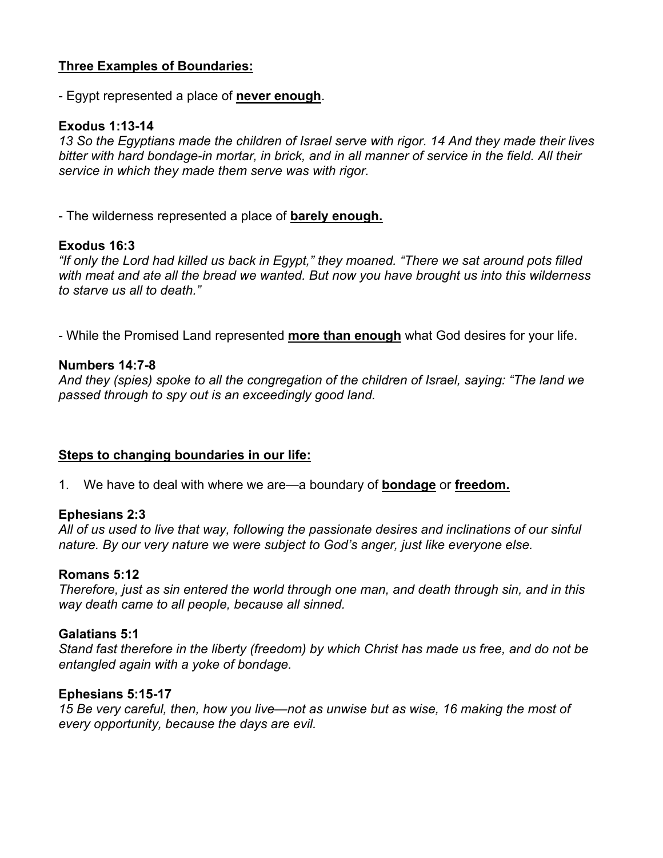# **Three Examples of Boundaries:**

- Egypt represented a place of **never enough**.

### **Exodus 1:13-14**

*13 So the Egyptians made the children of Israel serve with rigor. 14 And they made their lives bitter with hard bondage-in mortar, in brick, and in all manner of service in the field. All their service in which they made them serve was with rigor.*

- The wilderness represented a place of **barely enough.**

## **Exodus 16:3**

*"If only the Lord had killed us back in Egypt," they moaned. "There we sat around pots filled with meat and ate all the bread we wanted. But now you have brought us into this wilderness to starve us all to death."*

- While the Promised Land represented **more than enough** what God desires for your life.

#### **Numbers 14:7-8**

*And they (spies) spoke to all the congregation of the children of Israel, saying: "The land we passed through to spy out is an exceedingly good land.* 

## **Steps to changing boundaries in our life:**

1. We have to deal with where we are—a boundary of **bondage** or **freedom.**

#### **Ephesians 2:3**

*All of us used to live that way, following the passionate desires and inclinations of our sinful nature. By our very nature we were subject to God's anger, just like everyone else.*

#### **Romans 5:12**

*Therefore, just as sin entered the world through one man, and death through sin, and in this way death came to all people, because all sinned.*

#### **Galatians 5:1**

*Stand fast therefore in the liberty (freedom) by which Christ has made us free, and do not be entangled again with a yoke of bondage.*

#### **Ephesians 5:15-17**

*15 Be very careful, then, how you live—not as unwise but as wise, 16 making the most of every opportunity, because the days are evil.*